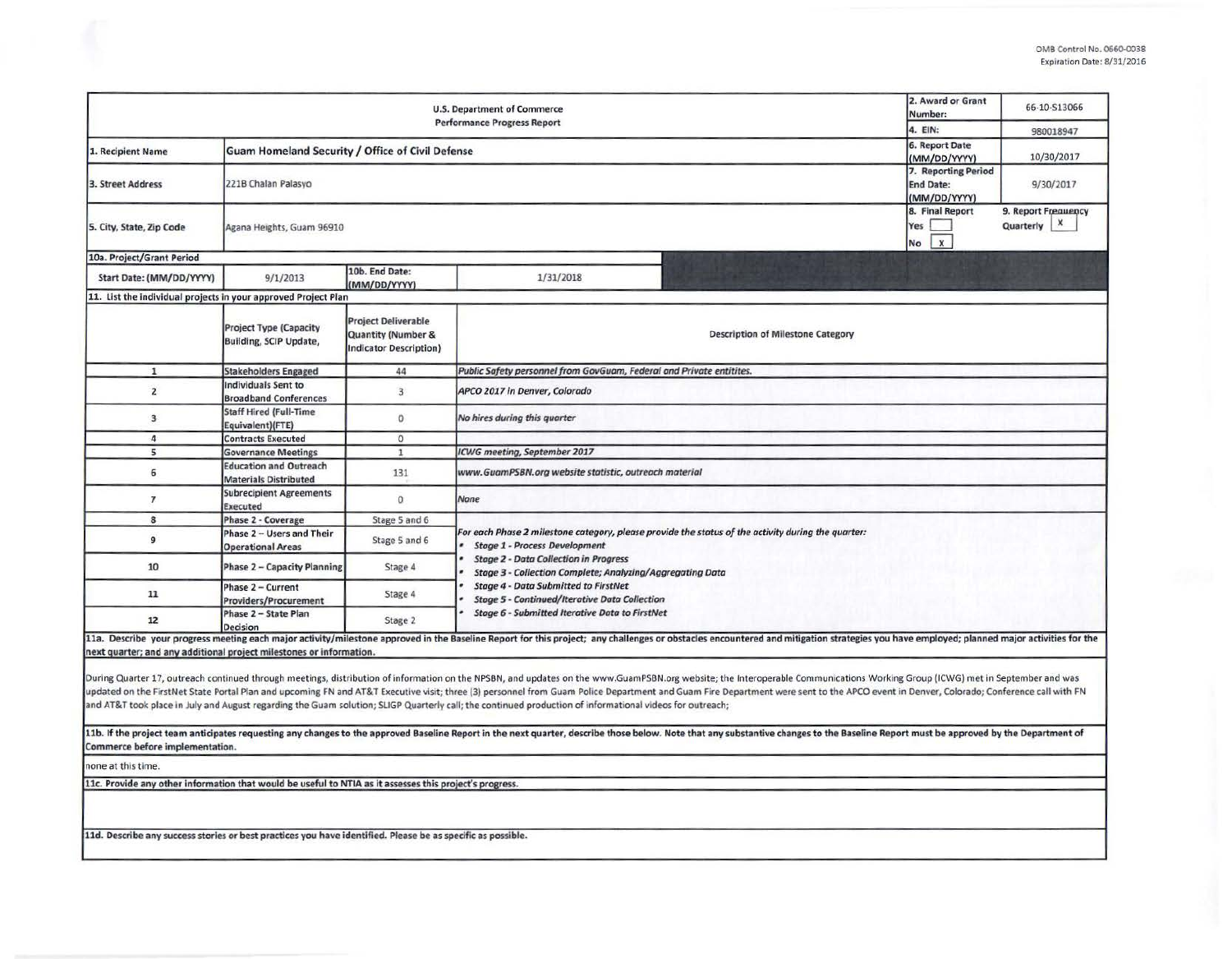| <b>U.S. Department of Commerce</b><br><b>Performance Progress Report</b>                                    |                                                                |                                                                                              |                                                                                                                                                              |                                                                                                                                                                                                                                                                                                                                                                                                                                                                |  | 66-10-S13066<br>980018947 |  |  |  |  |
|-------------------------------------------------------------------------------------------------------------|----------------------------------------------------------------|----------------------------------------------------------------------------------------------|--------------------------------------------------------------------------------------------------------------------------------------------------------------|----------------------------------------------------------------------------------------------------------------------------------------------------------------------------------------------------------------------------------------------------------------------------------------------------------------------------------------------------------------------------------------------------------------------------------------------------------------|--|---------------------------|--|--|--|--|
| 1. Recipient Name                                                                                           | Guam Homeland Security / Office of Civil Defense               | 6. Report Date<br>(MM/DD/YYYY)                                                               | 10/30/2017                                                                                                                                                   |                                                                                                                                                                                                                                                                                                                                                                                                                                                                |  |                           |  |  |  |  |
| 3. Street Address                                                                                           | 221B Chalan Palasyo                                            | 7. Reporting Period<br><b>End Date:</b><br>(MM/DD/YYYY)                                      | 9/30/2017                                                                                                                                                    |                                                                                                                                                                                                                                                                                                                                                                                                                                                                |  |                           |  |  |  |  |
| 5. City, State, Zip Code                                                                                    | 8. Final Report<br>Yes<br>$\mathbf{x}$<br>No                   | 9. Report Frequency<br>$\pmb{\times}$<br>Quarterly                                           |                                                                                                                                                              |                                                                                                                                                                                                                                                                                                                                                                                                                                                                |  |                           |  |  |  |  |
| 10a. Project/Grant Period                                                                                   |                                                                |                                                                                              |                                                                                                                                                              |                                                                                                                                                                                                                                                                                                                                                                                                                                                                |  |                           |  |  |  |  |
| Start Date: (MM/DD/YYYY)                                                                                    | 9/1/2013                                                       | 10b. End Date:<br>(MM/DD/YYYY)                                                               | 1/31/2018                                                                                                                                                    |                                                                                                                                                                                                                                                                                                                                                                                                                                                                |  |                           |  |  |  |  |
| 11. List the individual projects in your approved Project Plan                                              |                                                                |                                                                                              |                                                                                                                                                              |                                                                                                                                                                                                                                                                                                                                                                                                                                                                |  |                           |  |  |  |  |
|                                                                                                             | <b>Project Type (Capacity</b><br><b>Building, SCIP Update,</b> | <b>Project Deliverable</b><br><b>Quantity (Number &amp;</b><br><b>Indicator Description)</b> |                                                                                                                                                              | <b>Description of Milestone Category</b>                                                                                                                                                                                                                                                                                                                                                                                                                       |  |                           |  |  |  |  |
| $\mathbf{1}$                                                                                                | <b>Stakeholders Engaged</b>                                    | 44                                                                                           | Public Safety personnel from GovGuam, Federal and Private entitites.                                                                                         |                                                                                                                                                                                                                                                                                                                                                                                                                                                                |  |                           |  |  |  |  |
| $\overline{2}$                                                                                              | Individuals Sent to<br><b>Broadband Conferences</b>            | $\overline{3}$                                                                               | APCO 2017 in Denver, Colorado                                                                                                                                |                                                                                                                                                                                                                                                                                                                                                                                                                                                                |  |                           |  |  |  |  |
| 3                                                                                                           | <b>Staff Hired (Full-Time</b><br>Equivalent)(FTE)              | $\circ$                                                                                      | No hires during this quarter                                                                                                                                 |                                                                                                                                                                                                                                                                                                                                                                                                                                                                |  |                           |  |  |  |  |
| 4                                                                                                           | <b>Contracts Executed</b>                                      | $\circ$                                                                                      |                                                                                                                                                              |                                                                                                                                                                                                                                                                                                                                                                                                                                                                |  |                           |  |  |  |  |
| 5                                                                                                           | <b>Governance Meetings</b>                                     | $1\,$                                                                                        | <b>ICWG</b> meeting, September 2017                                                                                                                          |                                                                                                                                                                                                                                                                                                                                                                                                                                                                |  |                           |  |  |  |  |
| 6                                                                                                           | <b>Education and Outreach</b><br><b>Materials Distributed</b>  | 131                                                                                          | www.GuamPSBN.org website statistic, outreach material                                                                                                        |                                                                                                                                                                                                                                                                                                                                                                                                                                                                |  |                           |  |  |  |  |
| $\overline{7}$                                                                                              | <b>Subrecipient Agreements</b><br>Executed                     | $^{\circ}$                                                                                   | None                                                                                                                                                         |                                                                                                                                                                                                                                                                                                                                                                                                                                                                |  |                           |  |  |  |  |
| 8                                                                                                           | Phase 2 - Coverage                                             | Stage 5 and 6                                                                                |                                                                                                                                                              |                                                                                                                                                                                                                                                                                                                                                                                                                                                                |  |                           |  |  |  |  |
| 9                                                                                                           | Phase 2 - Users and Their<br><b>Operational Areas</b>          | Stage 5 and 6                                                                                | For each Phase 2 milestone category, please provide the status of the activity during the quarter:<br><b>Stage 1 - Process Development</b>                   |                                                                                                                                                                                                                                                                                                                                                                                                                                                                |  |                           |  |  |  |  |
| 10                                                                                                          | <b>Phase 2 - Capacity Planning</b>                             | Stage 4                                                                                      | <b>Stage 2 - Data Collection in Progress</b><br>Stage 3 - Collection Complete; Analyzing/Aggregating Data                                                    |                                                                                                                                                                                                                                                                                                                                                                                                                                                                |  |                           |  |  |  |  |
| 11                                                                                                          | Phase 2 - Current<br><b>Providers/Procurement</b>              | Stage 4                                                                                      | <b>Stage 4 - Data Submitted to FirstNet</b><br><b>Stage 5 - Continued/Iterative Data Collection</b><br><b>Stage 6 - Submitted Iterative Data to FirstNet</b> |                                                                                                                                                                                                                                                                                                                                                                                                                                                                |  |                           |  |  |  |  |
| 12                                                                                                          | Phase 2 - State Plan<br>Decision                               | Stage 2                                                                                      |                                                                                                                                                              |                                                                                                                                                                                                                                                                                                                                                                                                                                                                |  |                           |  |  |  |  |
| next quarter; and any additional project milestones or information.                                         |                                                                |                                                                                              |                                                                                                                                                              | 11a. Describe your progress meeting each major activity/milestone approved in the Baseline Report for this project; any challenges or obstacles encountered and mitigation strategies you have employed; planned major activit                                                                                                                                                                                                                                 |  |                           |  |  |  |  |
|                                                                                                             |                                                                |                                                                                              | and AT&T took place in July and August regarding the Guam solution; SLIGP Quarterly call; the continued production of informational videos for outreach;     | During Quarter 17, outreach continued through meetings, distribution of information on the NPSBN, and updates on the www.GuamPSBN.org website; the Interoperable Communications Working Group (ICWG) met in September and was<br>updated on the FirstNet State Portal Plan and upcoming FN and AT&T Executive visit; three (3) personnel from Guam Police Department and Guam Fire Department were sent to the APCO event in Denver, Colorado; Conference call |  |                           |  |  |  |  |
| Commerce before implementation.                                                                             |                                                                |                                                                                              |                                                                                                                                                              | 11b. If the project team anticipates requesting any changes to the approved Baseline Report in the next quarter, describe those below. Note that any substantive changes to the Baseline Report must be approved by the Depart                                                                                                                                                                                                                                 |  |                           |  |  |  |  |
| none at this time.                                                                                          |                                                                |                                                                                              |                                                                                                                                                              |                                                                                                                                                                                                                                                                                                                                                                                                                                                                |  |                           |  |  |  |  |
| 11c. Provide any other information that would be useful to NTIA as it assesses this project's progress.     |                                                                |                                                                                              |                                                                                                                                                              |                                                                                                                                                                                                                                                                                                                                                                                                                                                                |  |                           |  |  |  |  |
|                                                                                                             |                                                                |                                                                                              |                                                                                                                                                              |                                                                                                                                                                                                                                                                                                                                                                                                                                                                |  |                           |  |  |  |  |
| 11d. Describe any success stories or best practices you have identified. Please be as specific as possible. |                                                                |                                                                                              |                                                                                                                                                              |                                                                                                                                                                                                                                                                                                                                                                                                                                                                |  |                           |  |  |  |  |